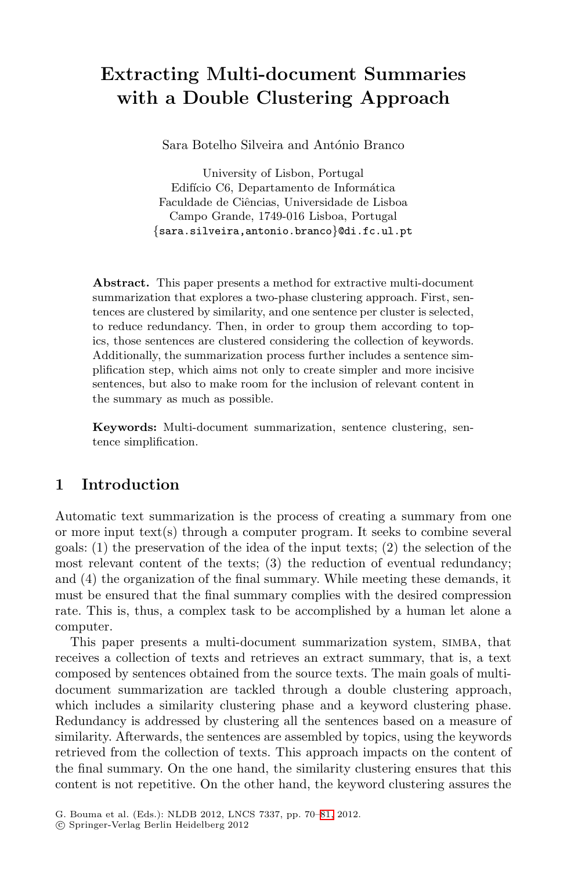# **Extracting Multi-document Summaries with a Double Clustering Approach**

Sara Botelho Silveira and António Branco

University of Lisbon, Portugal Edifício C6, Departamento de Informática Faculdade de Ciências, Universidade de Lisboa Campo Grande, 1749-016 Lisboa, Portugal *{*sara.silveira,antonio.branco*}*@di.fc.ul.pt

**Abstract.** This paper presents a method for extractive multi-document summarization that explores a two-phase clustering approach. First, sentences are clustered by similarity, and one sentence per cluster is selected, to reduce redundancy. Then, in order to group them according to topics, those sentences are clustered considering the collection of keywords. Additionally, the summarization process further includes a sentence simplification step, which aims not only to create simpler and more incisive sentences, but also to make room for the inclusion of relevant content in the summary as much as possible.

**Keywords:** Multi-document summarization, sentence clustering, sentence simplification.

# **1 Introduction**

Automatic text summarization is the process of creating a summary from one or more input text(s) through a computer program. It seeks to combine several goals: (1) the preservation of the idea of the input texts; (2) the selection of the most relevant content of the texts; (3) the reduction of eventual redundancy; and (4) the organization of the final summary. While meeting these demands, it must be ensured that the final summary complies with the desired compression rate. This is, thus, a complex task to be accomplished by a human let alone a computer.

This paper presents a multi-document summarization system, simba, that receives a collection of texts and retrieves an extract summary, that is, a text composed by sentences obtained from the source texts. The main goals of multidocument summarization are tackled through a double clustering approach, which includes a similarity clustering phase and a keyword clustering phase. Redundancy is addressed by clustering all the sentences based on a measure of similarity. Afterwards, the sentences are assembled by topics, using the keywords retrieved from the collection of texts. This approach impacts on the content of the final summary. On the one hand, the similarity clustering ensures that this content is not repetitive. On the other hand, the keyword clustering assures the

G. Bouma et al. (Eds.): NLDB 2012, LNCS 7337, pp. 70–[81,](#page-11-0) 2012.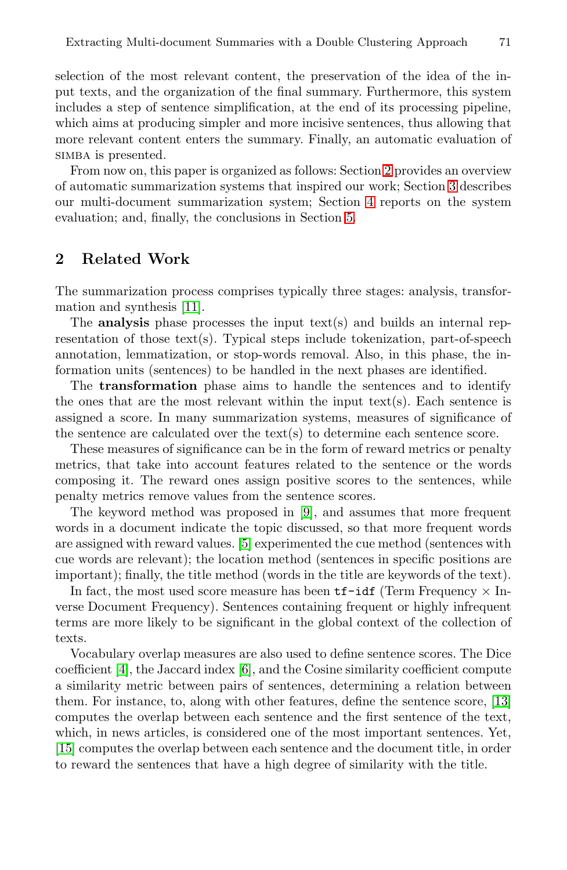selection of the most relevant content, the preservation of the idea of the input texts, and the organization of the final summary. Furthermore, this system includes a step of sentence simplification, at the end of its processing pipeline, which aims at producing simpler and more incisive sentences, thus allowing that more relevant content enters the summary. Finally, an automatic evaluation of simba is presented.

<span id="page-1-0"></span>From now on, this paper is organized as follows: Section [2](#page-1-0) provides an overview of automatic summarization systems that inspired our work; Section [3](#page-2-0) describes our multi-document summarization system; Section [4](#page-7-0) reports on the system evaluation; and, finally, the conclusions in Section [5.](#page-10-0)

#### **2 Related Work**

The summarization process comprises typically three stages: analysis, transformation and synthesis [\[11\]](#page-11-1).

The **analysis** phase processes the input text(s) and builds an internal representation of those text(s). Typical steps include tokenization, part-of-speech annotation, lemmatization, or stop-words removal. Also, in this phase, the information units (sentences) to be handled in the next phases are identified.

The **transformation** phase aims to handle the sentences and to identify the ones that are the most relevant within the input text(s). Each sentence is assigned a score. In many summarization systems, measures of significance of the sentence are calculated over the text(s) to determine each sentence score.

These measures of significance can be in the form of reward metrics or penalty metrics, that take into account features related to the sentence or the words composing it. The reward ones assign positive scores to the sentences, while penalty metrics remove values from the sentence scores.

The keyword method was proposed in [\[9\]](#page-11-2), and assumes that more frequent words in a document indicate the topic discussed, so that more frequent words are assigned with reward values. [\[5\]](#page-11-3) experimented the cue method (sentences with cue words are relevant); the location method (sentences in specific positions are important); finally, the title method (words in the title are keywords of the text).

In fact, the most used score measure has been tf-idf (Term Frequency *<sup>×</sup>* Inverse Document Frequency). Sentences containing frequent or highly infrequent terms are more likely to be significant in the global context of the collection of texts.

Vocabulary overlap measures are also used to define sentence scores. The Dice coefficient [\[4\]](#page-11-4), the Jaccard index [\[6\]](#page-11-5), and the Cosine similarity coefficient compute a similarity metric between pairs of sentences, determining a relation between them. For instance, to, along with other features, define the sentence score, [\[13\]](#page-11-6) computes the overlap between each sentence and the first sentence of the text, which, in news articles, is considered one of the most important sentences. Yet, [\[15\]](#page-11-7) computes the overlap between each sentence and the document title, in order to reward the sentences that have a high degree of similarity with the title.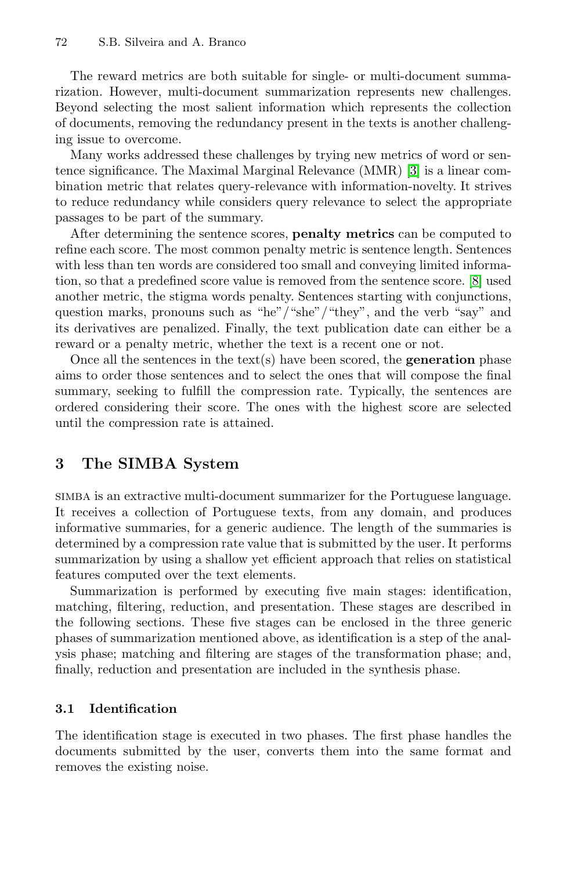The reward metrics are both suitable for single- or multi-document summarization. However, multi-document summarization represents new challenges. Beyond selecting the most salient information which represents the collection of documents, removing the redundancy present in the texts is another challenging issue to overcome.

Many works addressed these challenges by trying new metrics of word or sentence significance. The Maximal Marginal Relevance (MMR) [\[3\]](#page-11-8) is a linear combination metric that relates query-relevance with information-novelty. It strives to reduce redundancy while considers query relevance to select the appropriate passages to be part of the summary.

After determining the sentence scores, **penalty metrics** can be computed to refine each score. The most common penalty metric is sentence length. Sentences with less than ten words are considered too small and conveying limited information, so that a predefined score value is removed from the sentence score. [\[8\]](#page-11-9) used another metric, the stigma words penalty. Sentences starting with conjunctions, question marks, pronouns such as "he"/"she"/"they", and the verb "say" and its derivatives are penalized. Finally, the text publication date can either be a reward or a penalty metric, whether the text is a recent one or not.

<span id="page-2-0"></span>Once all the sentences in the text(s) have been scored, the **generation** phase aims to order those sentences and to select the ones that will compose the final summary, seeking to fulfill the compression rate. Typically, the sentences are ordered considering their score. The ones with the highest score are selected until the compression rate is attained.

# **3 The SIMBA System**

simba is an extractive multi-document summarizer for the Portuguese language. It receives a collection of Portuguese texts, from any domain, and produces informative summaries, for a generic audience. The length of the summaries is determined by a compression rate value that is submitted by the user. It performs summarization by using a shallow yet efficient approach that relies on statistical features computed over the text elements.

Summarization is performed by executing five main stages: identification, matching, filtering, reduction, and presentation. These stages are described in the following sections. These five stages can be enclosed in the three generic phases of summarization mentioned above, as identification is a step of the analysis phase; matching and filtering are stages of the transformation phase; and, finally, reduction and presentation are included in the synthesis phase.

### **3.1 Identification**

The identification stage is executed in two phases. The first phase handles the documents submitted by the user, converts them into the same format and removes the existing noise.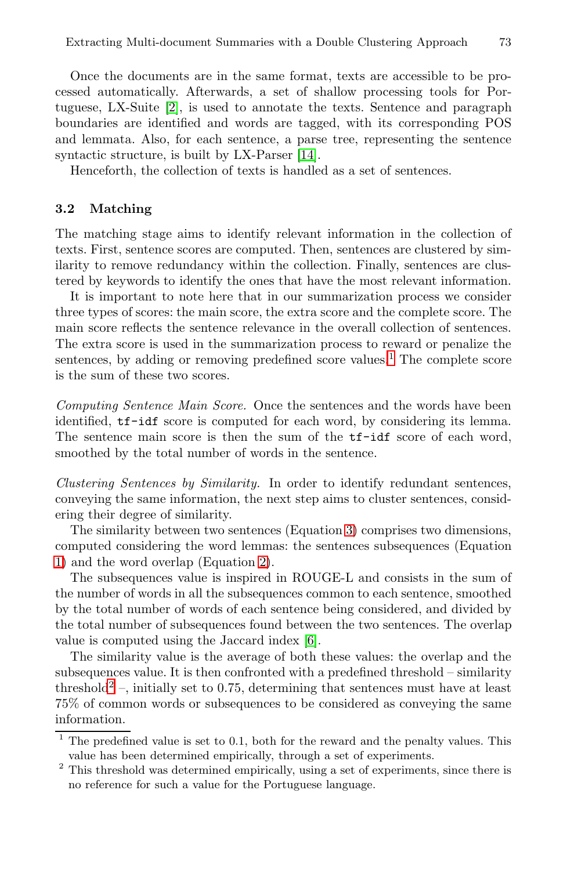Once the documents are in the same format, texts are accessible to be processed automatically. Afterwards, a set of shallow processing tools for Portuguese, LX-Suite [\[2\]](#page-11-10), is used to annotate the texts. Sentence and paragraph boundaries are identified and words are tagged, with its corresponding POS and lemmata. Also, for each sentence, a parse tree, representing the sentence syntactic structure, is built by LX-Parser [\[14\]](#page-11-11).

Henceforth, the collection of texts is handled as a set of sentences.

#### **3.2 Matching**

The matching stage aims to identify relevant information in the collection of texts. First, sentence scores are computed. Then, sentences are clustered by similarity to remove redundancy within the collection. Finally, sentences are clustered by keywords to identify the ones that have the most relevant information.

It is important to note here that in our summarization process we consider three types of scores: the main score, the extra score and the complete score. The main score reflects the sentence relevance in the overall collection of sentences. The extra score is used in the summarization process to reward or penalize the sentences, by adding or removing predefined score values.<sup>[1](#page-3-0)</sup> The complete score is the sum of these two scores.

*Computing Sentence Main Score.* Once the sentences and the words have been identified, tf-idf score is computed for each word, by considering its lemma. The sentence main score is then the sum of the tf-idf score of each word, smoothed by the total number of words in the sentence.

*Clustering Sentences by Similarity.* In order to identify redundant sentences, conveying the same information, the next step aims to cluster sentences, considering their degree of similarity.

The similarity between two sentences (Equation [3\)](#page-4-0) comprises two dimensions, computed considering the word lemmas: the sentences subsequences (Equation [1\)](#page-4-1) and the word overlap (Equation [2\)](#page-4-2).

The subsequences value is inspired in ROUGE-L and consists in the sum of the number of words in all the subsequences common to each sentence, smoothed by the total number of words of each sentence being considered, and divided by the total number of subsequences found between the two sentences. The overlap value is computed using the Jaccard index [\[6\]](#page-11-5).

<span id="page-3-1"></span><span id="page-3-0"></span>The similarity value is the average of both these values: the overlap and the subsequences value. It is then confronted with a predefined threshold – similarity threshold<sup>[2](#page-3-1)</sup> –, initially set to 0.75, determining that sentences must have at least 75% of common words or subsequences to be considered as conveying the same information.

<sup>1</sup> The predefined value is set to 0.1, both for the reward and the penalty values. This value has been determined empirically, through a set of experiments.

 $2$  This threshold was determined empirically, using a set of experiments, since there is no reference for such a value for the Portuguese language.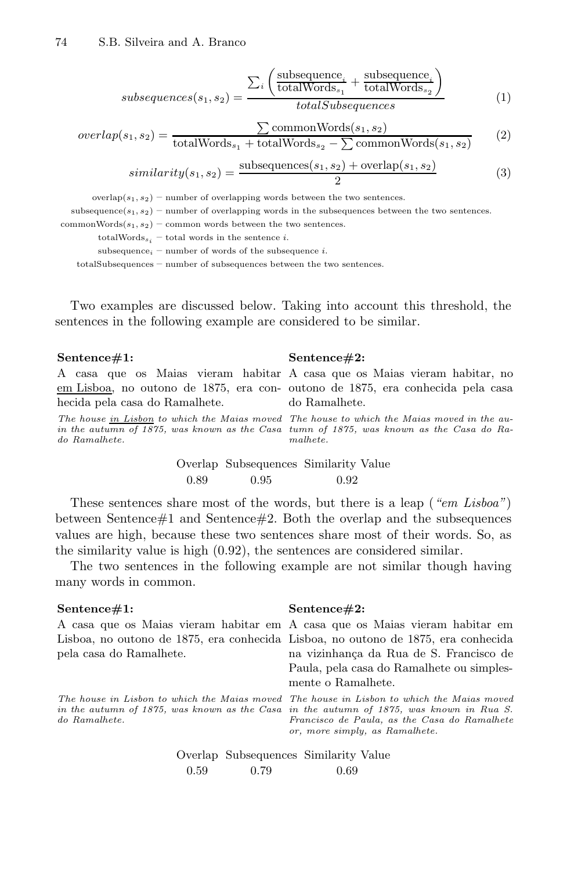<span id="page-4-2"></span><span id="page-4-1"></span><span id="page-4-0"></span>
$$
subsequences(s_1, s_2) = \frac{\sum_{i} \left( \frac{\text{subsequence}_i}{\text{totalWords}_{s_1}} + \frac{\text{subsequence}_i}{\text{totalWords}_{s_2}} \right)}{\text{totalSubsequences}} \tag{1}
$$

$$
overlap(s_1, s_2) = \frac{\sum \text{commonWords}(s_1, s_2)}{\text{totalWords}_{s_1} + \text{totalWords}_{s_2} - \sum \text{commonWords}(s_1, s_2)}
$$
(2)

$$
similarity(s_1, s_2) = \frac{\text{subsequences}(s_1, s_2) + \text{overlap}(s_1, s_2)}{2} \tag{3}
$$

overlap( $s_1, s_2$ ) – number of overlapping words between the two sentences. subsequence( $s_1, s_2$ ) – number of overlapping words in the subsequences between the two sentences. commonWords $(s_1, s_2)$  – common words between the two sentences. totalWords<sub> $s_i$ </sub> – total words in the sentence *i*. subsequence<sub>i</sub> – number of words of the subsequence *i*.

totalSubsequences – number of subsequences between the two sentences.

Two examples are discussed below. Taking into account this threshold, the sentences in the following example are considered to be similar.

#### Sentence#1: Sentence#2: A casa que os Maias vieram habitar A casa que os Maias vieram habitar, no em Lisboa, no outono de 1875, era con- outono de 1875, era conhecida pela casa hecida pela casa do Ramalhete. do Ramalhete. *The house in Lisbon to which the Maias moved The house to which the Maias moved in the auin the autumn of 1875, was known as the Casa tumn of 1875, was known as the Casa do Rado Ramalhete. malhete.*

Overlap Subsequences Similarity Value 0.89 0.95 0.92

These sentences share most of the words, but there is a leap (*"em Lisboa"*) between Sentence#1 and Sentence#2. Both the overlap and the subsequences values are high, because these two sentences share most of their words. So, as the similarity value is high (0.92), the sentences are considered similar.

The two sentences in the following example are not similar though having many words in common.

| Sentence#1:                                                                                                                                                                                           | Sentence#2:                                                                    |
|-------------------------------------------------------------------------------------------------------------------------------------------------------------------------------------------------------|--------------------------------------------------------------------------------|
| A casa que os Maias vieram habitar em A casa que os Maias vieram habitar em                                                                                                                           |                                                                                |
| Lisboa, no outono de 1875, era conhecida Lisboa, no outono de 1875, era conhecida                                                                                                                     |                                                                                |
| pela casa do Ramalhete.                                                                                                                                                                               | na vizinhanca da Rua de S. Francisco de                                        |
|                                                                                                                                                                                                       | Paula, pela casa do Ramalhete ou simples-                                      |
|                                                                                                                                                                                                       | mente o Ramalhete.                                                             |
| The house in Lisbon to which the Maias moved The house in Lisbon to which the Maias moved<br>in the autumn of 1875, was known as the Casa in the autumn of 1875, was known in Rua S.<br>do Ramalhete. | Francisco de Paula, as the Casa do Ramalhete<br>or, more simply, as Ramalhete. |
|                                                                                                                                                                                                       |                                                                                |

Overlap Subsequences Similarity Value 0.59 0.79 0.69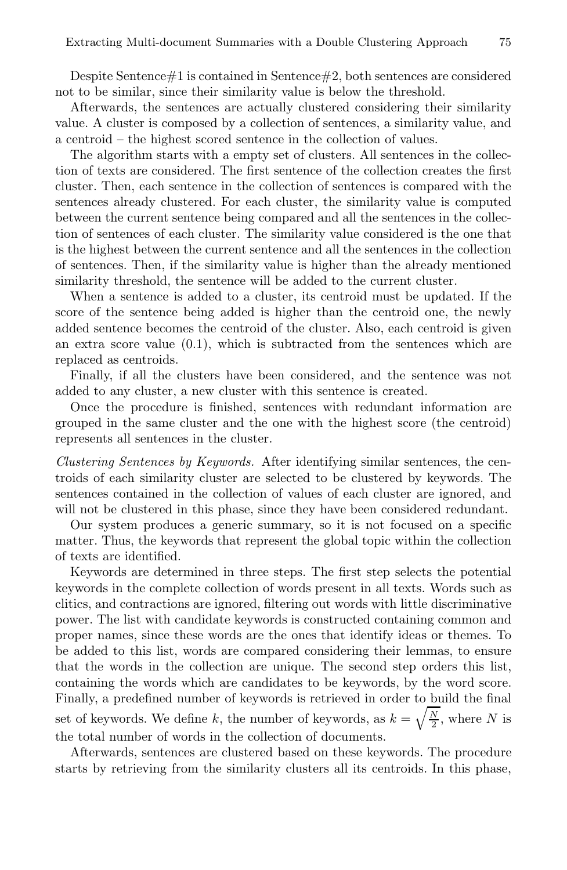Despite Sentence#1 is contained in Sentence#2, both sentences are considered not to be similar, since their similarity value is below the threshold.

Afterwards, the sentences are actually clustered considering their similarity value. A cluster is composed by a collection of sentences, a similarity value, and a centroid – the highest scored sentence in the collection of values.

The algorithm starts with a empty set of clusters. All sentences in the collection of texts are considered. The first sentence of the collection creates the first cluster. Then, each sentence in the collection of sentences is compared with the sentences already clustered. For each cluster, the similarity value is computed between the current sentence being compared and all the sentences in the collection of sentences of each cluster. The similarity value considered is the one that is the highest between the current sentence and all the sentences in the collection of sentences. Then, if the similarity value is higher than the already mentioned similarity threshold, the sentence will be added to the current cluster.

When a sentence is added to a cluster, its centroid must be updated. If the score of the sentence being added is higher than the centroid one, the newly added sentence becomes the centroid of the cluster. Also, each centroid is given an extra score value  $(0.1)$ , which is subtracted from the sentences which are replaced as centroids.

Finally, if all the clusters have been considered, and the sentence was not added to any cluster, a new cluster with this sentence is created.

Once the procedure is finished, sentences with redundant information are grouped in the same cluster and the one with the highest score (the centroid) represents all sentences in the cluster.

*Clustering Sentences by Keywords.* After identifying similar sentences, the centroids of each similarity cluster are selected to be clustered by keywords. The sentences contained in the collection of values of each cluster are ignored, and will not be clustered in this phase, since they have been considered redundant.

Our system produces a generic summary, so it is not focused on a specific matter. Thus, the keywords that represent the global topic within the collection of texts are identified.

Keywords are determined in three steps. The first step selects the potential keywords in the complete collection of words present in all texts. Words such as clitics, and contractions are ignored, filtering out words with little discriminative power. The list with candidate keywords is constructed containing common and proper names, since these words are the ones that identify ideas or themes. To be added to this list, words are compared considering their lemmas, to ensure that the words in the collection are unique. The second step orders this list, containing the words which are candidates to be keywords, by the word score. Finally, a predefined number of keywords is retrieved in order to build the final set of keywords. We define *k*, the number of keywords, as  $k = \sqrt{\frac{N}{2}}$ , where *N* is the total number of words in the collection of documents.

Afterwards, sentences are clustered based on these keywords. The procedure starts by retrieving from the similarity clusters all its centroids. In this phase,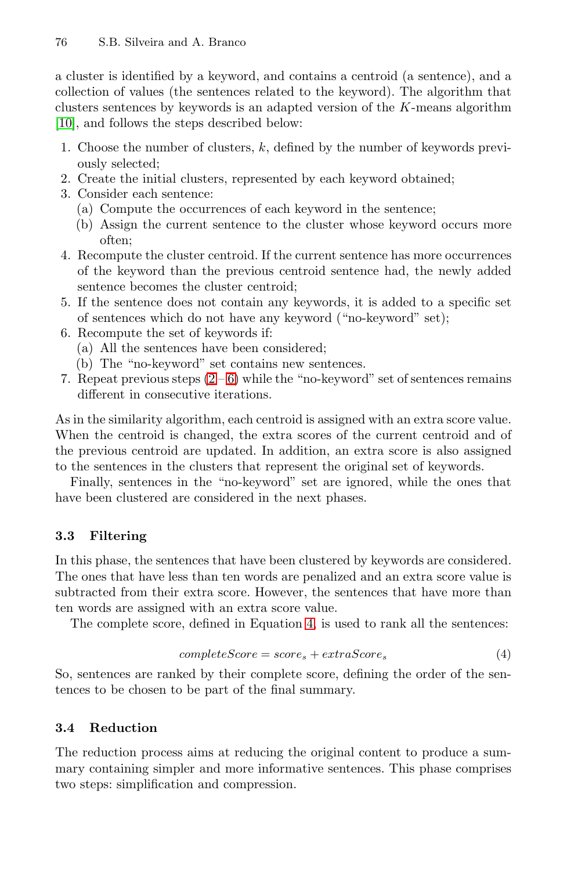<span id="page-6-0"></span>a cluster is identified by a keyword, and contains a centroid (a sentence), and a collection of values (the sentences related to the keyword). The algorithm that clusters sentences by keywords is an adapted version of the *K*-means algorithm [\[10\]](#page-11-12), and follows the steps described below:

- 1. Choose the number of clusters, *k*, defined by the number of keywords previously selected;
- 2. Create the initial clusters, represented by each keyword obtained;
- <span id="page-6-1"></span>3. Consider each sentence:
	- (a) Compute the occurrences of each keyword in the sentence;
	- (b) Assign the current sentence to the cluster whose keyword occurs more often;
- 4. Recompute the cluster centroid. If the current sentence has more occurrences of the keyword than the previous centroid sentence had, the newly added sentence becomes the cluster centroid;
- 5. If the sentence does not contain any keywords, it is added to a specific set of sentences which do not have any keyword ("no-keyword" set);
- 6. Recompute the set of keywords if:
	- (a) All the sentences have been considered;
	- (b) The "no-keyword" set contains new sentences.
- 7. Repeat previous steps  $(2-6)$  $(2-6)$  while the "no-keyword" set of sentences remains different in consecutive iterations.

As in the similarity algorithm, each centroid is assigned with an extra score value. When the centroid is changed, the extra scores of the current centroid and of the previous centroid are updated. In addition, an extra score is also assigned to the sentences in the clusters that represent the original set of keywords.

Finally, sentences in the "no-keyword" set are ignored, while the ones that have been clustered are considered in the next phases.

# <span id="page-6-2"></span>**3.3 Filtering**

In this phase, the sentences that have been clustered by keywords are considered. The ones that have less than ten words are penalized and an extra score value is subtracted from their extra score. However, the sentences that have more than ten words are assigned with an extra score value.

The complete score, defined in Equation [4,](#page-6-2) is used to rank all the sentences:

$$
completeScore = score_s + extraScore_s
$$
\n<sup>(4)</sup>

So, sentences are ranked by their complete score, defining the order of the sentences to be chosen to be part of the final summary.

# **3.4 Reduction**

The reduction process aims at reducing the original content to produce a summary containing simpler and more informative sentences. This phase comprises two steps: simplification and compression.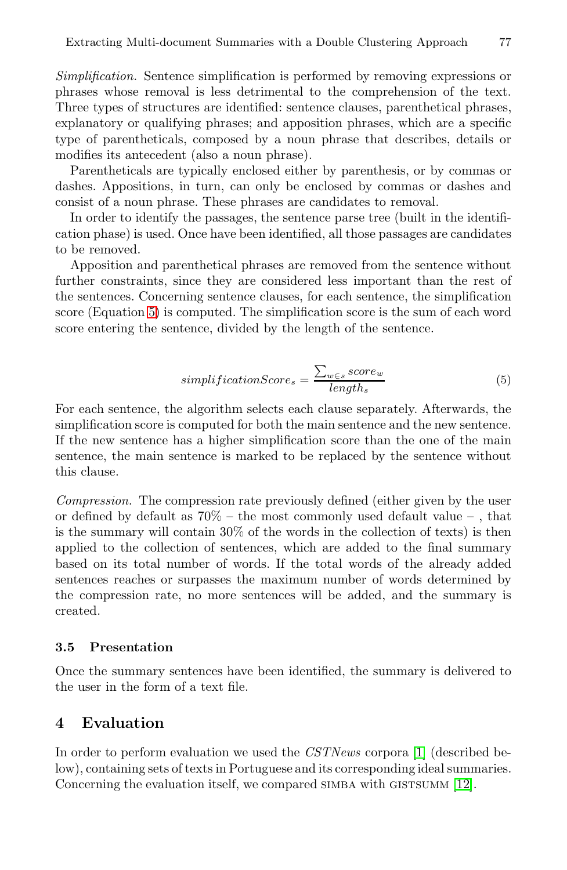*Simplification.* Sentence simplification is performed by removing expressions or phrases whose removal is less detrimental to the comprehension of the text. Three types of structures are identified: sentence clauses, parenthetical phrases, explanatory or qualifying phrases; and apposition phrases, which are a specific type of parentheticals, composed by a noun phrase that describes, details or modifies its antecedent (also a noun phrase).

Parentheticals are typically enclosed either by parenthesis, or by commas or dashes. Appositions, in turn, can only be enclosed by commas or dashes and consist of a noun phrase. These phrases are candidates to removal.

<span id="page-7-1"></span>In order to identify the passages, the sentence parse tree (built in the identification phase) is used. Once have been identified, all those passages are candidates to be removed.

Apposition and parenthetical phrases are removed from the sentence without further constraints, since they are considered less important than the rest of the sentences. Concerning sentence clauses, for each sentence, the simplification score (Equation [5\)](#page-7-1) is computed. The simplification score is the sum of each word score entering the sentence, divided by the length of the sentence.

$$
simplificationScore_s = \frac{\sum_{w \in s} score_w}{length_s} \tag{5}
$$

For each sentence, the algorithm selects each clause separately. Afterwards, the simplification score is computed for both the main sentence and the new sentence. If the new sentence has a higher simplification score than the one of the main sentence, the main sentence is marked to be replaced by the sentence without this clause.

*Compression.* The compression rate previously defined (either given by the user or defined by default as  $70\%$  – the most commonly used default value –, that is the summary will contain 30% of the words in the collection of texts) is then applied to the collection of sentences, which are added to the final summary based on its total number of words. If the total words of the already added sentences reaches or surpasses the maximum number of words determined by the compression rate, no more sentences will be added, and the summary is created.

#### <span id="page-7-0"></span>**3.5 Presentation**

Once the summary sentences have been identified, the summary is delivered to the user in the form of a text file.

#### **4 Evaluation**

In order to perform evaluation we used the *CSTNews* corpora [\[1\]](#page-10-1) (described below), containing sets of texts in Portuguese and its corresponding ideal summaries. Concerning the evaluation itself, we compared SIMBA with GISTSUMM [\[12\]](#page-11-13).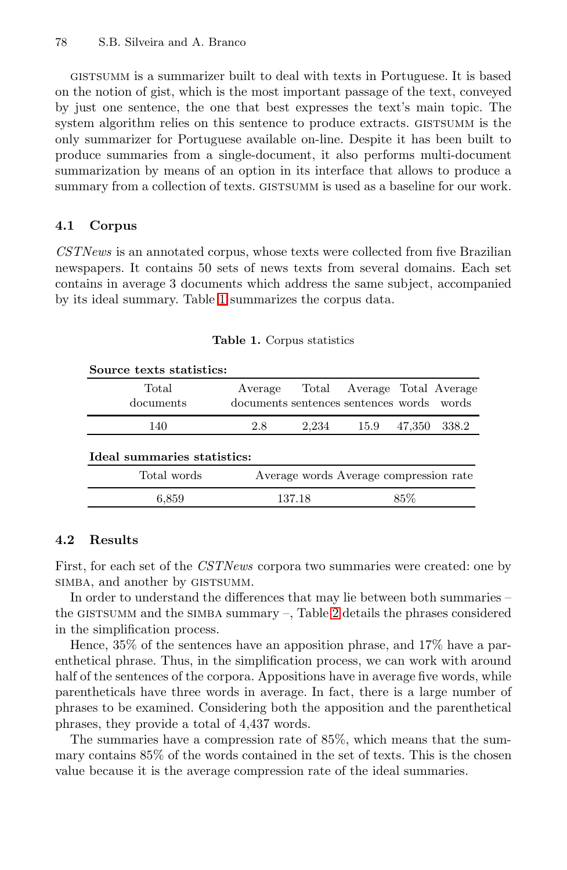gistsumm is a summarizer built to deal with texts in Portuguese. It is based on the notion of gist, which is the most important passage of the text, conveyed by just one sentence, the one that best expresses the text's main topic. The system algorithm relies on this sentence to produce extracts. GISTSUMM is the only summarizer for Portuguese available on-line. Despite it has been built to produce summaries from a single-document, it also performs multi-document summarization by means of an option in its interface that allows to produce a summary from a collection of texts. GISTSUMM is used as a baseline for our work.

### <span id="page-8-0"></span>**4.1 Corpus**

*CSTNews* is an annotated corpus, whose texts were collected from five Brazilian newspapers. It contains 50 sets of news texts from several domains. Each set contains in average 3 documents which address the same subject, accompanied by its ideal summary. Table [1](#page-8-0) summarizes the corpus data.

| Source texts statistics:    |                                                      |                                        |                             |        |       |  |  |  |
|-----------------------------|------------------------------------------------------|----------------------------------------|-----------------------------|--------|-------|--|--|--|
| Total<br>documents          | Average<br>documents sentences sentences words words |                                        | Total Average Total Average |        |       |  |  |  |
|                             |                                                      |                                        |                             |        |       |  |  |  |
| 140                         | 2.8                                                  | 2,234                                  | 15.9                        | 47,350 | 338.2 |  |  |  |
| Ideal summaries statistics: |                                                      |                                        |                             |        |       |  |  |  |
| Total words                 |                                                      | Average words Average compression rate |                             |        |       |  |  |  |
| 6,859                       |                                                      | 137.18                                 |                             | 85%    |       |  |  |  |

#### **4.2 Results**

First, for each set of the *CSTNews* corpora two summaries were created: one by simida, and another by GISTSUMM.

In order to understand the differences that may lie between both summaries – the GISTSUMM and the SIMBA summary  $-$ , Table [2](#page-9-0) details the phrases considered in the simplification process.

Hence, 35% of the sentences have an apposition phrase, and 17% have a parenthetical phrase. Thus, in the simplification process, we can work with around half of the sentences of the corpora. Appositions have in average five words, while parentheticals have three words in average. In fact, there is a large number of phrases to be examined. Considering both the apposition and the parenthetical phrases, they provide a total of 4,437 words.

The summaries have a compression rate of 85%, which means that the summary contains 85% of the words contained in the set of texts. This is the chosen value because it is the average compression rate of the ideal summaries.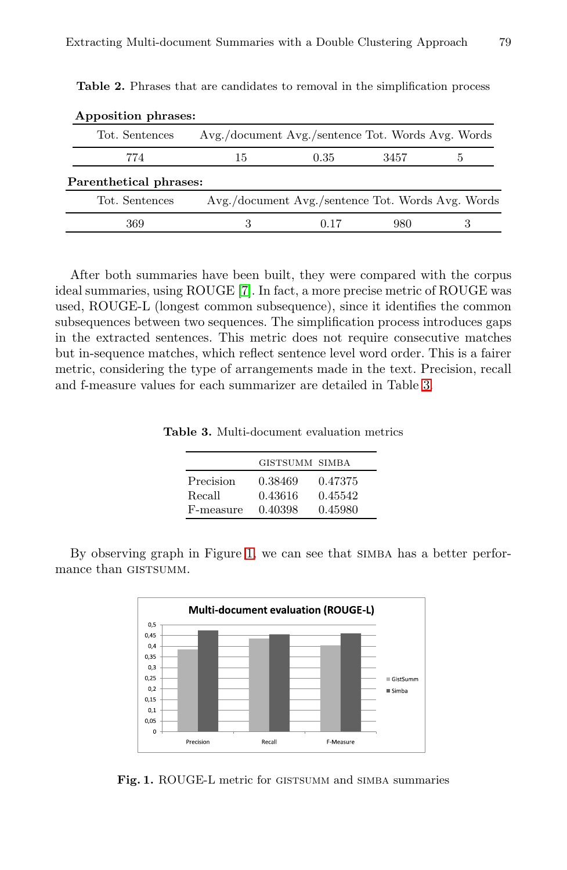| Apposition phrases: |                        |                                                   |      |      |    |  |  |  |
|---------------------|------------------------|---------------------------------------------------|------|------|----|--|--|--|
|                     | Tot. Sentences         | Avg./document Avg./sentence Tot. Words Avg. Words |      |      |    |  |  |  |
|                     | 774                    | 15                                                | 0.35 | 3457 | b, |  |  |  |
|                     | Parenthetical phrases: |                                                   |      |      |    |  |  |  |
|                     | Tot. Sentences         | Avg./document Avg./sentence Tot. Words Avg. Words |      |      |    |  |  |  |
|                     | 369                    |                                                   |      | 980  |    |  |  |  |

<span id="page-9-0"></span>**Table 2.** Phrases that are candidates to removal in the simplification process

<span id="page-9-1"></span>After both summaries have been built, they were compared with the corpus ideal summaries, using ROUGE [\[7\]](#page-11-14). In fact, a more precise metric of ROUGE was used, ROUGE-L (longest common subsequence), since it identifies the common subsequences between two sequences. The simplification process introduces gaps in the extracted sentences. This metric does not require consecutive matches but in-sequence matches, which reflect sentence level word order. This is a fairer metric, considering the type of arrangements made in the text. Precision, recall and f-measure values for each summarizer are detailed in Table [3.](#page-9-1)

**Table 3.** Multi-document evaluation metrics

<span id="page-9-2"></span>

|           | GISTSUMM SIMBA |         |
|-----------|----------------|---------|
| Precision | 0.38469        | 0.47375 |
| Recall    | 0.43616        | 0.45542 |
| F-measure | 0.40398        | 0.45980 |

By observing graph in Figure [1,](#page-9-2) we can see that simba has a better performance than GISTSUMM.



Fig. 1. ROUGE-L metric for GISTSUMM and SIMBA summaries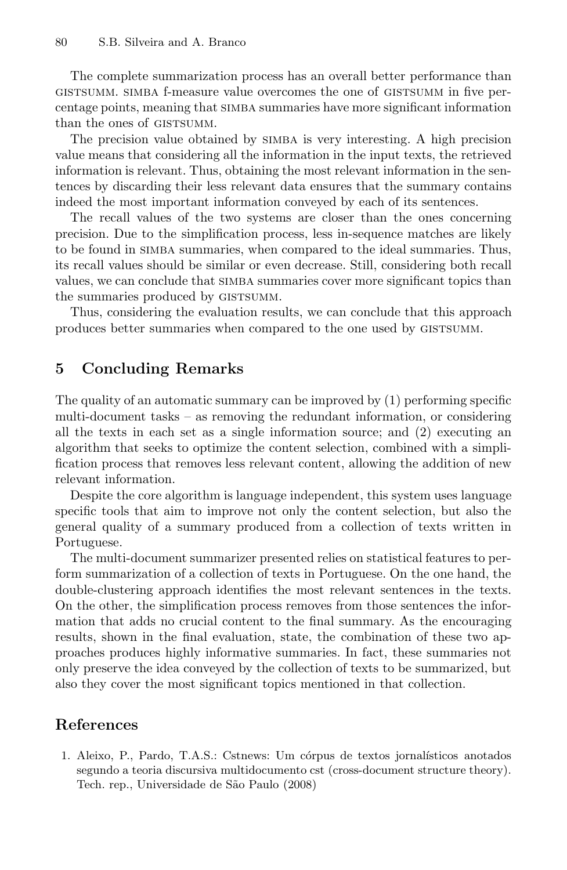The complete summarization process has an overall better performance than gistsumm. simba f-measure value overcomes the one of gistsumm in five percentage points, meaning that simba summaries have more significant information than the ones of GISTSUMM.

The precision value obtained by simba is very interesting. A high precision value means that considering all the information in the input texts, the retrieved information is relevant. Thus, obtaining the most relevant information in the sentences by discarding their less relevant data ensures that the summary contains indeed the most important information conveyed by each of its sentences.

<span id="page-10-0"></span>The recall values of the two systems are closer than the ones concerning precision. Due to the simplification process, less in-sequence matches are likely to be found in simba summaries, when compared to the ideal summaries. Thus, its recall values should be similar or even decrease. Still, considering both recall values, we can conclude that simba summaries cover more significant topics than the summaries produced by GISTSUMM.

Thus, considering the evaluation results, we can conclude that this approach produces better summaries when compared to the one used by gistsumm.

## **5 Concluding Remarks**

The quality of an automatic summary can be improved by (1) performing specific multi-document tasks – as removing the redundant information, or considering all the texts in each set as a single information source; and (2) executing an algorithm that seeks to optimize the content selection, combined with a simplification process that removes less relevant content, allowing the addition of new relevant information.

Despite the core algorithm is language independent, this system uses language specific tools that aim to improve not only the content selection, but also the general quality of a summary produced from a collection of texts written in Portuguese.

<span id="page-10-1"></span>The multi-document summarizer presented relies on statistical features to perform summarization of a collection of texts in Portuguese. On the one hand, the double-clustering approach identifies the most relevant sentences in the texts. On the other, the simplification process removes from those sentences the information that adds no crucial content to the final summary. As the encouraging results, shown in the final evaluation, state, the combination of these two approaches produces highly informative summaries. In fact, these summaries not only preserve the idea conveyed by the collection of texts to be summarized, but also they cover the most significant topics mentioned in that collection.

### **References**

1. Aleixo, P., Pardo, T.A.S.: Cstnews: Um córpus de textos jornalísticos anotados segundo a teoria discursiva multidocumento cst (cross-document structure theory). Tech. rep., Universidade de São Paulo (2008)